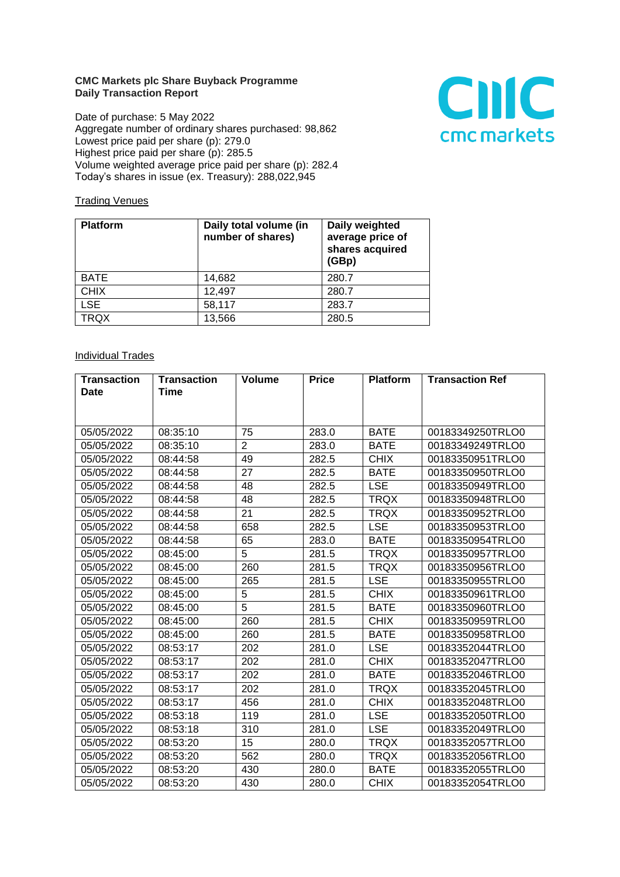## **CMC Markets plc Share Buyback Programme Daily Transaction Report**

Date of purchase: 5 May 2022 Aggregate number of ordinary shares purchased: 98,862 Lowest price paid per share (p): 279.0 Highest price paid per share (p): 285.5 Volume weighted average price paid per share (p): 282.4 Today's shares in issue (ex. Treasury): 288,022,945



## **Trading Venues**

| <b>Platform</b> | Daily total volume (in<br>number of shares) | Daily weighted<br>average price of<br>shares acquired<br>(GBp) |
|-----------------|---------------------------------------------|----------------------------------------------------------------|
| <b>BATE</b>     | 14,682                                      | 280.7                                                          |
| <b>CHIX</b>     | 12,497                                      | 280.7                                                          |
| <b>LSE</b>      | 58,117                                      | 283.7                                                          |
| <b>TRQX</b>     | 13,566                                      | 280.5                                                          |

## **Individual Trades**

| <b>Transaction</b> | <b>Transaction</b> | <b>Volume</b>  | <b>Price</b> | <b>Platform</b> | <b>Transaction Ref</b> |
|--------------------|--------------------|----------------|--------------|-----------------|------------------------|
| <b>Date</b>        | Time               |                |              |                 |                        |
|                    |                    |                |              |                 |                        |
| 05/05/2022         | 08:35:10           | 75             | 283.0        | <b>BATE</b>     | 00183349250TRLO0       |
| 05/05/2022         | 08:35:10           | $\overline{2}$ | 283.0        | <b>BATE</b>     | 00183349249TRLO0       |
| 05/05/2022         | 08:44:58           | 49             | 282.5        | <b>CHIX</b>     | 00183350951TRLO0       |
| 05/05/2022         | 08:44:58           | 27             | 282.5        | <b>BATE</b>     | 00183350950TRLO0       |
| 05/05/2022         | 08:44:58           | 48             | 282.5        | <b>LSE</b>      | 00183350949TRLO0       |
| 05/05/2022         | 08:44:58           | 48             | 282.5        | <b>TRQX</b>     | 00183350948TRLO0       |
| 05/05/2022         | 08:44:58           | 21             | 282.5        | <b>TRQX</b>     | 00183350952TRLO0       |
| 05/05/2022         | 08:44:58           | 658            | 282.5        | <b>LSE</b>      | 00183350953TRLO0       |
| 05/05/2022         | 08:44:58           | 65             | 283.0        | <b>BATE</b>     | 00183350954TRLO0       |
| 05/05/2022         | 08:45:00           | 5              | 281.5        | <b>TRQX</b>     | 00183350957TRLO0       |
| 05/05/2022         | 08:45:00           | 260            | 281.5        | <b>TRQX</b>     | 00183350956TRLO0       |
| 05/05/2022         | 08:45:00           | 265            | 281.5        | <b>LSE</b>      | 00183350955TRLO0       |
| 05/05/2022         | 08:45:00           | 5              | 281.5        | <b>CHIX</b>     | 00183350961TRLO0       |
| 05/05/2022         | 08:45:00           | $\overline{5}$ | 281.5        | <b>BATE</b>     | 00183350960TRLO0       |
| 05/05/2022         | 08:45:00           | 260            | 281.5        | <b>CHIX</b>     | 00183350959TRLO0       |
| 05/05/2022         | 08:45:00           | 260            | 281.5        | <b>BATE</b>     | 00183350958TRLO0       |
| 05/05/2022         | 08:53:17           | 202            | 281.0        | <b>LSE</b>      | 00183352044TRLO0       |
| 05/05/2022         | 08:53:17           | 202            | 281.0        | <b>CHIX</b>     | 00183352047TRLO0       |
| 05/05/2022         | 08:53:17           | 202            | 281.0        | <b>BATE</b>     | 00183352046TRLO0       |
| 05/05/2022         | 08:53:17           | 202            | 281.0        | <b>TRQX</b>     | 00183352045TRLO0       |
| 05/05/2022         | 08:53:17           | 456            | 281.0        | <b>CHIX</b>     | 00183352048TRLO0       |
| 05/05/2022         | 08:53:18           | 119            | 281.0        | <b>LSE</b>      | 00183352050TRLO0       |
| 05/05/2022         | 08:53:18           | 310            | 281.0        | <b>LSE</b>      | 00183352049TRLO0       |
| 05/05/2022         | 08:53:20           | 15             | 280.0        | <b>TRQX</b>     | 00183352057TRLO0       |
| 05/05/2022         | 08:53:20           | 562            | 280.0        | <b>TRQX</b>     | 00183352056TRLO0       |
| 05/05/2022         | 08:53:20           | 430            | 280.0        | BATE            | 00183352055TRLO0       |
| 05/05/2022         | 08:53:20           | 430            | 280.0        | <b>CHIX</b>     | 00183352054TRLO0       |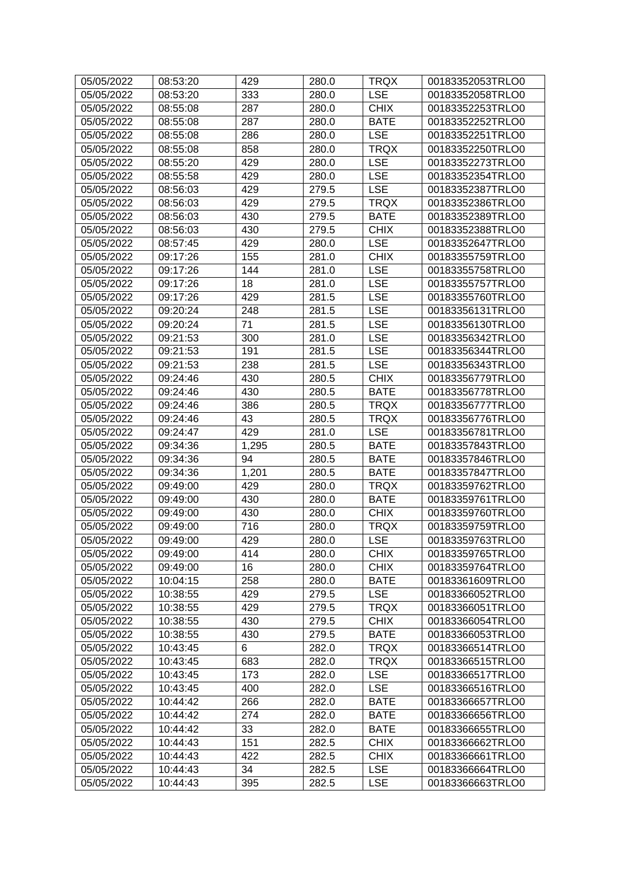| 05/05/2022 | 08:53:20 | 429   | 280.0 | <b>TRQX</b> | 00183352053TRLO0 |
|------------|----------|-------|-------|-------------|------------------|
| 05/05/2022 | 08:53:20 | 333   | 280.0 | <b>LSE</b>  | 00183352058TRLO0 |
| 05/05/2022 | 08:55:08 | 287   | 280.0 | <b>CHIX</b> | 00183352253TRLO0 |
| 05/05/2022 | 08:55:08 | 287   | 280.0 | <b>BATE</b> | 00183352252TRLO0 |
| 05/05/2022 | 08:55:08 | 286   | 280.0 | <b>LSE</b>  | 00183352251TRLO0 |
| 05/05/2022 | 08:55:08 | 858   | 280.0 | <b>TRQX</b> | 00183352250TRLO0 |
| 05/05/2022 | 08:55:20 | 429   | 280.0 | <b>LSE</b>  | 00183352273TRLO0 |
| 05/05/2022 | 08:55:58 | 429   | 280.0 | <b>LSE</b>  | 00183352354TRLO0 |
| 05/05/2022 | 08:56:03 | 429   | 279.5 | <b>LSE</b>  | 00183352387TRLO0 |
| 05/05/2022 | 08:56:03 | 429   | 279.5 | <b>TRQX</b> | 00183352386TRLO0 |
| 05/05/2022 | 08:56:03 | 430   | 279.5 | <b>BATE</b> | 00183352389TRLO0 |
| 05/05/2022 | 08:56:03 | 430   | 279.5 | <b>CHIX</b> | 00183352388TRLO0 |
| 05/05/2022 | 08:57:45 | 429   | 280.0 | <b>LSE</b>  | 00183352647TRLO0 |
| 05/05/2022 | 09:17:26 | 155   | 281.0 | <b>CHIX</b> | 00183355759TRLO0 |
| 05/05/2022 | 09:17:26 | 144   | 281.0 | <b>LSE</b>  | 00183355758TRLO0 |
| 05/05/2022 | 09:17:26 | 18    | 281.0 | <b>LSE</b>  | 00183355757TRLO0 |
| 05/05/2022 | 09:17:26 | 429   | 281.5 | <b>LSE</b>  | 00183355760TRLO0 |
| 05/05/2022 | 09:20:24 | 248   | 281.5 | <b>LSE</b>  | 00183356131TRLO0 |
| 05/05/2022 | 09:20:24 | 71    | 281.5 | <b>LSE</b>  | 00183356130TRLO0 |
| 05/05/2022 | 09:21:53 | 300   | 281.0 | <b>LSE</b>  | 00183356342TRLO0 |
| 05/05/2022 | 09:21:53 | 191   | 281.5 | <b>LSE</b>  | 00183356344TRLO0 |
| 05/05/2022 | 09:21:53 | 238   | 281.5 | <b>LSE</b>  | 00183356343TRLO0 |
| 05/05/2022 | 09:24:46 | 430   | 280.5 | <b>CHIX</b> | 00183356779TRLO0 |
| 05/05/2022 | 09:24:46 | 430   | 280.5 | <b>BATE</b> | 00183356778TRLO0 |
| 05/05/2022 | 09:24:46 | 386   | 280.5 | <b>TRQX</b> | 00183356777TRLO0 |
| 05/05/2022 | 09:24:46 | 43    | 280.5 | <b>TRQX</b> | 00183356776TRLO0 |
| 05/05/2022 | 09:24:47 | 429   | 281.0 | <b>LSE</b>  | 00183356781TRLO0 |
| 05/05/2022 | 09:34:36 | 1,295 | 280.5 | <b>BATE</b> | 00183357843TRLO0 |
| 05/05/2022 | 09:34:36 | 94    | 280.5 | <b>BATE</b> | 00183357846TRLO0 |
| 05/05/2022 | 09:34:36 | 1,201 | 280.5 | <b>BATE</b> | 00183357847TRLO0 |
| 05/05/2022 | 09:49:00 | 429   | 280.0 | <b>TRQX</b> | 00183359762TRLO0 |
| 05/05/2022 | 09:49:00 | 430   | 280.0 | <b>BATE</b> | 00183359761TRLO0 |
| 05/05/2022 | 09:49:00 | 430   | 280.0 | <b>CHIX</b> | 00183359760TRLO0 |
| 05/05/2022 | 09:49:00 | 716   | 280.0 | <b>TRQX</b> | 00183359759TRLO0 |
| 05/05/2022 | 09:49:00 | 429   | 280.0 | <b>LSE</b>  | 00183359763TRLO0 |
| 05/05/2022 | 09:49:00 | 414   | 280.0 | <b>CHIX</b> | 00183359765TRLO0 |
| 05/05/2022 | 09:49:00 | 16    | 280.0 | <b>CHIX</b> | 00183359764TRLO0 |
| 05/05/2022 | 10:04:15 | 258   | 280.0 | <b>BATE</b> | 00183361609TRLO0 |
| 05/05/2022 | 10:38:55 | 429   | 279.5 | <b>LSE</b>  | 00183366052TRLO0 |
| 05/05/2022 | 10:38:55 | 429   | 279.5 | <b>TRQX</b> | 00183366051TRLO0 |
| 05/05/2022 | 10:38:55 | 430   | 279.5 | <b>CHIX</b> | 00183366054TRLO0 |
| 05/05/2022 | 10:38:55 | 430   | 279.5 | <b>BATE</b> | 00183366053TRLO0 |
| 05/05/2022 | 10:43:45 | 6     | 282.0 | <b>TRQX</b> | 00183366514TRLO0 |
| 05/05/2022 | 10:43:45 | 683   | 282.0 | <b>TRQX</b> | 00183366515TRLO0 |
| 05/05/2022 | 10:43:45 | 173   | 282.0 | <b>LSE</b>  | 00183366517TRLO0 |
| 05/05/2022 | 10:43:45 | 400   | 282.0 | <b>LSE</b>  | 00183366516TRLO0 |
| 05/05/2022 | 10:44:42 | 266   | 282.0 | <b>BATE</b> | 00183366657TRLO0 |
| 05/05/2022 | 10:44:42 | 274   | 282.0 | <b>BATE</b> | 00183366656TRLO0 |
| 05/05/2022 | 10:44:42 | 33    | 282.0 | <b>BATE</b> | 00183366655TRLO0 |
| 05/05/2022 | 10:44:43 | 151   | 282.5 | <b>CHIX</b> | 00183366662TRLO0 |
| 05/05/2022 | 10:44:43 | 422   | 282.5 | <b>CHIX</b> | 00183366661TRLO0 |
| 05/05/2022 | 10:44:43 | 34    | 282.5 | <b>LSE</b>  | 00183366664TRLO0 |
| 05/05/2022 | 10:44:43 | 395   | 282.5 | <b>LSE</b>  | 00183366663TRLO0 |
|            |          |       |       |             |                  |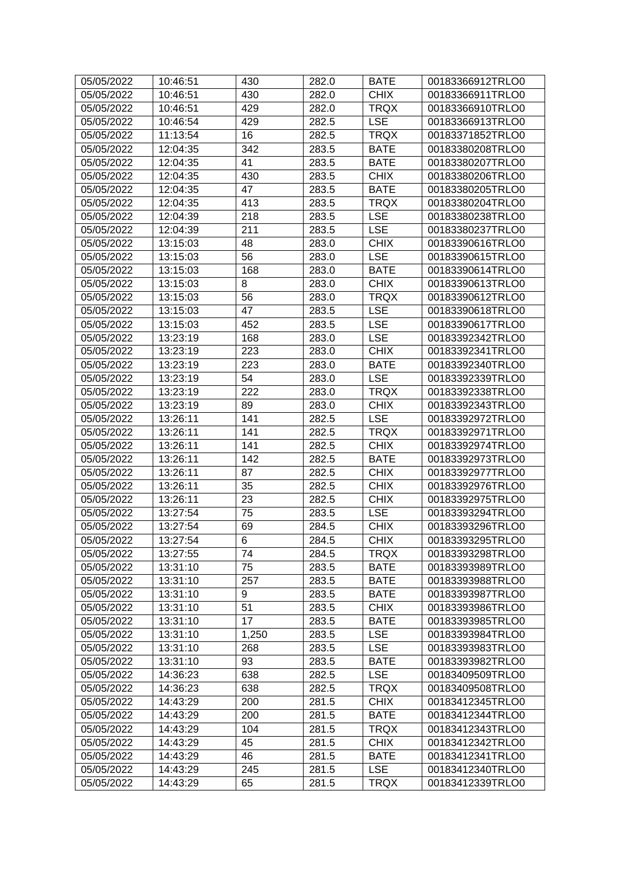| 05/05/2022 | 10:46:51 | 430   | 282.0 | <b>BATE</b> | 00183366912TRLO0 |
|------------|----------|-------|-------|-------------|------------------|
| 05/05/2022 | 10:46:51 | 430   | 282.0 | <b>CHIX</b> | 00183366911TRLO0 |
| 05/05/2022 | 10:46:51 | 429   | 282.0 | <b>TRQX</b> | 00183366910TRLO0 |
| 05/05/2022 | 10:46:54 | 429   | 282.5 | <b>LSE</b>  | 00183366913TRLO0 |
| 05/05/2022 | 11:13:54 | 16    | 282.5 | <b>TRQX</b> | 00183371852TRLO0 |
| 05/05/2022 | 12:04:35 | 342   | 283.5 | <b>BATE</b> | 00183380208TRLO0 |
| 05/05/2022 | 12:04:35 | 41    | 283.5 | <b>BATE</b> | 00183380207TRLO0 |
| 05/05/2022 | 12:04:35 | 430   | 283.5 | <b>CHIX</b> | 00183380206TRLO0 |
| 05/05/2022 | 12:04:35 | 47    | 283.5 | <b>BATE</b> | 00183380205TRLO0 |
| 05/05/2022 | 12:04:35 | 413   | 283.5 | <b>TRQX</b> | 00183380204TRLO0 |
| 05/05/2022 | 12:04:39 | 218   | 283.5 | <b>LSE</b>  | 00183380238TRLO0 |
| 05/05/2022 | 12:04:39 | 211   | 283.5 | <b>LSE</b>  | 00183380237TRLO0 |
| 05/05/2022 | 13:15:03 | 48    | 283.0 | <b>CHIX</b> | 00183390616TRLO0 |
| 05/05/2022 | 13:15:03 | 56    | 283.0 | <b>LSE</b>  | 00183390615TRLO0 |
| 05/05/2022 | 13:15:03 | 168   | 283.0 | <b>BATE</b> | 00183390614TRLO0 |
| 05/05/2022 | 13:15:03 | 8     | 283.0 | <b>CHIX</b> | 00183390613TRLO0 |
| 05/05/2022 | 13:15:03 | 56    | 283.0 | <b>TRQX</b> | 00183390612TRLO0 |
| 05/05/2022 | 13:15:03 | 47    | 283.5 | <b>LSE</b>  | 00183390618TRLO0 |
| 05/05/2022 | 13:15:03 | 452   | 283.5 | <b>LSE</b>  | 00183390617TRLO0 |
| 05/05/2022 | 13:23:19 | 168   | 283.0 | <b>LSE</b>  | 00183392342TRLO0 |
| 05/05/2022 | 13:23:19 | 223   | 283.0 | <b>CHIX</b> | 00183392341TRLO0 |
| 05/05/2022 | 13:23:19 | 223   | 283.0 | <b>BATE</b> | 00183392340TRLO0 |
| 05/05/2022 | 13:23:19 | 54    | 283.0 | <b>LSE</b>  | 00183392339TRLO0 |
| 05/05/2022 | 13:23:19 | 222   | 283.0 | <b>TRQX</b> | 00183392338TRLO0 |
| 05/05/2022 | 13:23:19 | 89    |       | <b>CHIX</b> | 00183392343TRLO0 |
|            |          |       | 283.0 |             |                  |
| 05/05/2022 | 13:26:11 | 141   | 282.5 | <b>LSE</b>  | 00183392972TRLO0 |
| 05/05/2022 | 13:26:11 | 141   | 282.5 | <b>TRQX</b> | 00183392971TRLO0 |
| 05/05/2022 | 13:26:11 | 141   | 282.5 | <b>CHIX</b> | 00183392974TRLO0 |
| 05/05/2022 | 13:26:11 | 142   | 282.5 | <b>BATE</b> | 00183392973TRLO0 |
| 05/05/2022 | 13:26:11 | 87    | 282.5 | <b>CHIX</b> | 00183392977TRLO0 |
| 05/05/2022 | 13:26:11 | 35    | 282.5 | <b>CHIX</b> | 00183392976TRLO0 |
| 05/05/2022 | 13:26:11 | 23    | 282.5 | <b>CHIX</b> | 00183392975TRLO0 |
| 05/05/2022 | 13:27:54 | 75    | 283.5 | <b>LSE</b>  | 00183393294TRLO0 |
| 05/05/2022 | 13:27:54 | 69    | 284.5 | <b>CHIX</b> | 00183393296TRLO0 |
| 05/05/2022 | 13:27:54 | 6     | 284.5 | <b>CHIX</b> | 00183393295TRLO0 |
| 05/05/2022 | 13:27:55 | 74    | 284.5 | <b>TRQX</b> | 00183393298TRLO0 |
| 05/05/2022 | 13:31:10 | 75    | 283.5 | <b>BATE</b> | 00183393989TRLO0 |
| 05/05/2022 | 13:31:10 | 257   | 283.5 | <b>BATE</b> | 00183393988TRLO0 |
| 05/05/2022 | 13:31:10 | 9     | 283.5 | <b>BATE</b> | 00183393987TRLO0 |
| 05/05/2022 | 13:31:10 | 51    | 283.5 | <b>CHIX</b> | 00183393986TRLO0 |
| 05/05/2022 | 13:31:10 | 17    | 283.5 | <b>BATE</b> | 00183393985TRLO0 |
| 05/05/2022 | 13:31:10 | 1,250 | 283.5 | <b>LSE</b>  | 00183393984TRLO0 |
| 05/05/2022 | 13:31:10 | 268   | 283.5 | <b>LSE</b>  | 00183393983TRLO0 |
| 05/05/2022 | 13:31:10 | 93    | 283.5 | <b>BATE</b> | 00183393982TRLO0 |
| 05/05/2022 | 14:36:23 | 638   | 282.5 | <b>LSE</b>  | 00183409509TRLO0 |
| 05/05/2022 | 14:36:23 | 638   | 282.5 | <b>TRQX</b> | 00183409508TRLO0 |
| 05/05/2022 | 14:43:29 | 200   | 281.5 | <b>CHIX</b> | 00183412345TRLO0 |
| 05/05/2022 | 14:43:29 | 200   | 281.5 | <b>BATE</b> | 00183412344TRLO0 |
| 05/05/2022 | 14:43:29 | 104   | 281.5 | <b>TRQX</b> | 00183412343TRLO0 |
| 05/05/2022 | 14:43:29 | 45    | 281.5 | <b>CHIX</b> | 00183412342TRLO0 |
| 05/05/2022 | 14:43:29 | 46    | 281.5 | <b>BATE</b> | 00183412341TRLO0 |
| 05/05/2022 | 14:43:29 | 245   | 281.5 | <b>LSE</b>  | 00183412340TRLO0 |
| 05/05/2022 | 14:43:29 | 65    | 281.5 | <b>TRQX</b> | 00183412339TRLO0 |
|            |          |       |       |             |                  |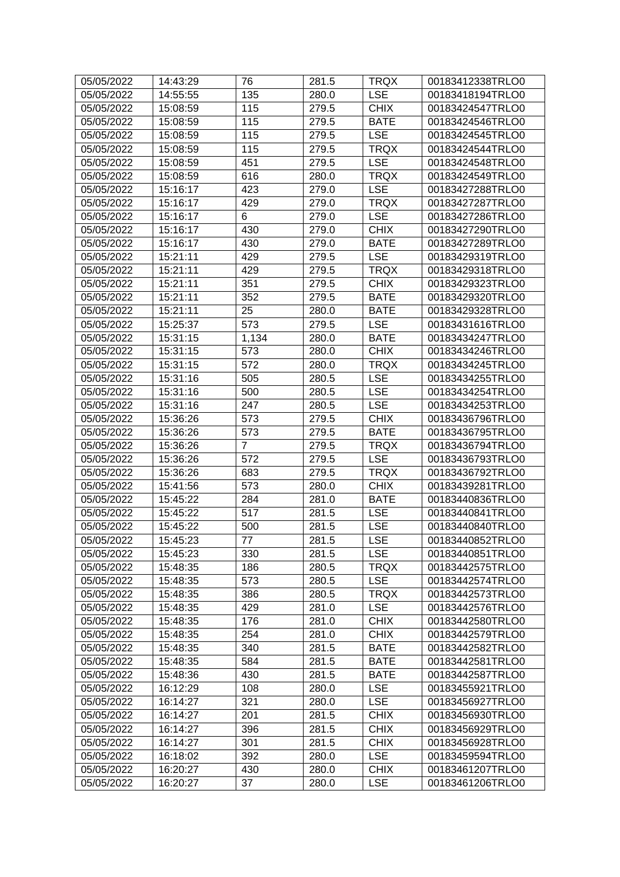| 05/05/2022 | 14:43:29 | 76               | 281.5 | <b>TRQX</b> | 00183412338TRLO0 |
|------------|----------|------------------|-------|-------------|------------------|
| 05/05/2022 | 14:55:55 | 135              | 280.0 | <b>LSE</b>  | 00183418194TRLO0 |
| 05/05/2022 | 15:08:59 | 115              | 279.5 | <b>CHIX</b> | 00183424547TRLO0 |
| 05/05/2022 | 15:08:59 | 115              | 279.5 | <b>BATE</b> | 00183424546TRLO0 |
| 05/05/2022 | 15:08:59 | 115              | 279.5 | <b>LSE</b>  | 00183424545TRLO0 |
| 05/05/2022 | 15:08:59 | 115              | 279.5 | <b>TRQX</b> | 00183424544TRLO0 |
| 05/05/2022 | 15:08:59 | 451              | 279.5 | <b>LSE</b>  | 00183424548TRLO0 |
| 05/05/2022 | 15:08:59 | 616              | 280.0 | <b>TRQX</b> | 00183424549TRLO0 |
| 05/05/2022 | 15:16:17 | 423              | 279.0 | <b>LSE</b>  | 00183427288TRLO0 |
| 05/05/2022 | 15:16:17 | 429              | 279.0 | <b>TRQX</b> | 00183427287TRLO0 |
| 05/05/2022 | 15:16:17 | 6                | 279.0 | <b>LSE</b>  | 00183427286TRLO0 |
| 05/05/2022 | 15:16:17 | 430              | 279.0 | <b>CHIX</b> | 00183427290TRLO0 |
| 05/05/2022 | 15:16:17 | 430              | 279.0 | <b>BATE</b> | 00183427289TRLO0 |
| 05/05/2022 | 15:21:11 | 429              | 279.5 | <b>LSE</b>  | 00183429319TRLO0 |
| 05/05/2022 | 15:21:11 | 429              | 279.5 | <b>TRQX</b> | 00183429318TRLO0 |
| 05/05/2022 | 15:21:11 | 351              | 279.5 | <b>CHIX</b> | 00183429323TRLO0 |
| 05/05/2022 | 15:21:11 | 352              | 279.5 | <b>BATE</b> | 00183429320TRLO0 |
| 05/05/2022 | 15:21:11 | 25               | 280.0 | <b>BATE</b> | 00183429328TRLO0 |
| 05/05/2022 | 15:25:37 | 573              | 279.5 | <b>LSE</b>  | 00183431616TRLO0 |
| 05/05/2022 | 15:31:15 | 1,134            | 280.0 | <b>BATE</b> | 00183434247TRLO0 |
| 05/05/2022 | 15:31:15 | 573              | 280.0 | <b>CHIX</b> | 00183434246TRLO0 |
| 05/05/2022 | 15:31:15 | 572              | 280.0 | <b>TRQX</b> | 00183434245TRLO0 |
| 05/05/2022 | 15:31:16 | 505              | 280.5 | <b>LSE</b>  | 00183434255TRLO0 |
| 05/05/2022 | 15:31:16 | 500              | 280.5 | <b>LSE</b>  | 00183434254TRLO0 |
| 05/05/2022 | 15:31:16 | 247              | 280.5 | <b>LSE</b>  | 00183434253TRLO0 |
| 05/05/2022 | 15:36:26 | 573              | 279.5 | <b>CHIX</b> | 00183436796TRLO0 |
| 05/05/2022 | 15:36:26 | 573              | 279.5 | <b>BATE</b> | 00183436795TRLO0 |
| 05/05/2022 | 15:36:26 | 7                | 279.5 | <b>TRQX</b> | 00183436794TRLO0 |
| 05/05/2022 | 15:36:26 | $\overline{572}$ | 279.5 | <b>LSE</b>  | 00183436793TRLO0 |
| 05/05/2022 | 15:36:26 | 683              | 279.5 | <b>TRQX</b> | 00183436792TRLO0 |
| 05/05/2022 | 15:41:56 | 573              | 280.0 | <b>CHIX</b> | 00183439281TRLO0 |
| 05/05/2022 | 15:45:22 | 284              | 281.0 | <b>BATE</b> | 00183440836TRLO0 |
| 05/05/2022 | 15:45:22 | 517              | 281.5 | <b>LSE</b>  | 00183440841TRLO0 |
| 05/05/2022 | 15:45:22 | 500              | 281.5 | <b>LSE</b>  | 00183440840TRLO0 |
| 05/05/2022 | 15:45:23 | 77               | 281.5 | <b>LSE</b>  | 00183440852TRLO0 |
| 05/05/2022 | 15:45:23 | 330              | 281.5 | <b>LSE</b>  | 00183440851TRLO0 |
| 05/05/2022 | 15:48:35 | 186              | 280.5 | <b>TRQX</b> | 00183442575TRLO0 |
| 05/05/2022 | 15:48:35 | 573              | 280.5 | <b>LSE</b>  | 00183442574TRLO0 |
| 05/05/2022 | 15:48:35 | 386              | 280.5 | <b>TRQX</b> | 00183442573TRLO0 |
| 05/05/2022 | 15:48:35 | 429              | 281.0 | <b>LSE</b>  | 00183442576TRLO0 |
| 05/05/2022 | 15:48:35 | 176              | 281.0 | <b>CHIX</b> | 00183442580TRLO0 |
| 05/05/2022 | 15:48:35 | 254              | 281.0 | <b>CHIX</b> | 00183442579TRLO0 |
| 05/05/2022 | 15:48:35 | 340              | 281.5 | <b>BATE</b> | 00183442582TRLO0 |
| 05/05/2022 | 15:48:35 | 584              | 281.5 | <b>BATE</b> | 00183442581TRLO0 |
| 05/05/2022 | 15:48:36 | 430              | 281.5 | <b>BATE</b> | 00183442587TRLO0 |
| 05/05/2022 | 16:12:29 | 108              | 280.0 | <b>LSE</b>  | 00183455921TRLO0 |
| 05/05/2022 | 16:14:27 | 321              | 280.0 | <b>LSE</b>  | 00183456927TRLO0 |
| 05/05/2022 | 16:14:27 | 201              | 281.5 | <b>CHIX</b> | 00183456930TRLO0 |
| 05/05/2022 | 16:14:27 | 396              | 281.5 | <b>CHIX</b> | 00183456929TRLO0 |
| 05/05/2022 | 16:14:27 | 301              | 281.5 | <b>CHIX</b> | 00183456928TRLO0 |
| 05/05/2022 | 16:18:02 | 392              | 280.0 | <b>LSE</b>  | 00183459594TRLO0 |
| 05/05/2022 | 16:20:27 | 430              | 280.0 | <b>CHIX</b> | 00183461207TRLO0 |
| 05/05/2022 | 16:20:27 | 37               | 280.0 | <b>LSE</b>  | 00183461206TRLO0 |
|            |          |                  |       |             |                  |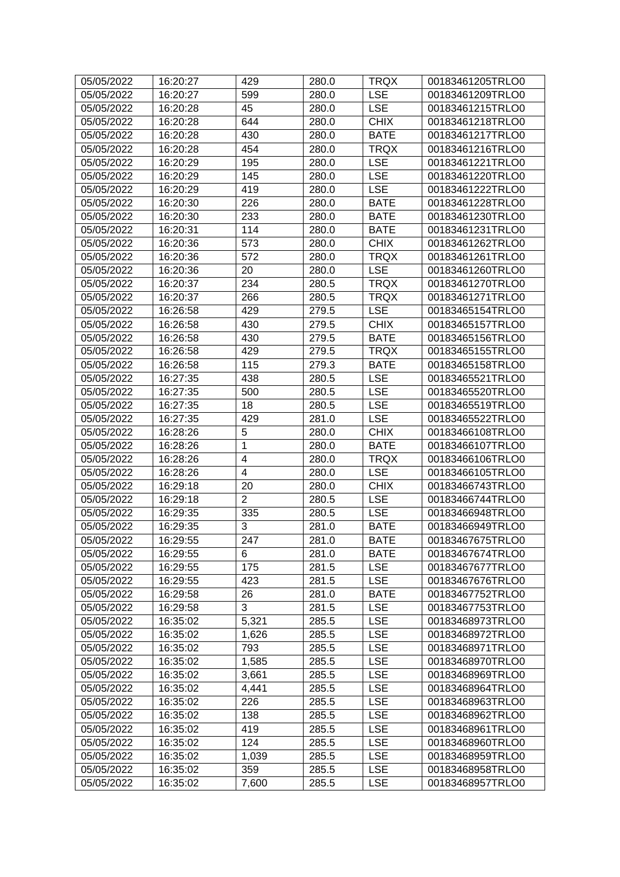| 05/05/2022 | 16:20:27 | 429                     | 280.0 | <b>TRQX</b> | 00183461205TRLO0 |
|------------|----------|-------------------------|-------|-------------|------------------|
| 05/05/2022 | 16:20:27 | 599                     | 280.0 | <b>LSE</b>  | 00183461209TRLO0 |
| 05/05/2022 | 16:20:28 | 45                      | 280.0 | <b>LSE</b>  | 00183461215TRLO0 |
| 05/05/2022 | 16:20:28 | 644                     | 280.0 | <b>CHIX</b> | 00183461218TRLO0 |
| 05/05/2022 | 16:20:28 | 430                     | 280.0 | <b>BATE</b> | 00183461217TRLO0 |
| 05/05/2022 | 16:20:28 | 454                     | 280.0 | <b>TRQX</b> | 00183461216TRLO0 |
| 05/05/2022 | 16:20:29 | 195                     | 280.0 | <b>LSE</b>  | 00183461221TRLO0 |
| 05/05/2022 | 16:20:29 | 145                     | 280.0 | <b>LSE</b>  | 00183461220TRLO0 |
| 05/05/2022 | 16:20:29 | 419                     | 280.0 | <b>LSE</b>  | 00183461222TRLO0 |
| 05/05/2022 | 16:20:30 | 226                     | 280.0 | <b>BATE</b> | 00183461228TRLO0 |
| 05/05/2022 | 16:20:30 | 233                     | 280.0 | <b>BATE</b> | 00183461230TRLO0 |
| 05/05/2022 | 16:20:31 | 114                     | 280.0 | <b>BATE</b> | 00183461231TRLO0 |
| 05/05/2022 | 16:20:36 | 573                     | 280.0 | <b>CHIX</b> | 00183461262TRLO0 |
| 05/05/2022 | 16:20:36 | 572                     | 280.0 | <b>TRQX</b> | 00183461261TRLO0 |
| 05/05/2022 | 16:20:36 | 20                      | 280.0 | <b>LSE</b>  | 00183461260TRLO0 |
| 05/05/2022 | 16:20:37 | 234                     | 280.5 | <b>TRQX</b> | 00183461270TRLO0 |
| 05/05/2022 | 16:20:37 | 266                     | 280.5 | <b>TRQX</b> | 00183461271TRLO0 |
| 05/05/2022 | 16:26:58 | 429                     | 279.5 | <b>LSE</b>  | 00183465154TRLO0 |
| 05/05/2022 | 16:26:58 | 430                     | 279.5 | <b>CHIX</b> | 00183465157TRLO0 |
| 05/05/2022 | 16:26:58 | 430                     | 279.5 | <b>BATE</b> | 00183465156TRLO0 |
| 05/05/2022 | 16:26:58 | 429                     | 279.5 | <b>TRQX</b> | 00183465155TRLO0 |
| 05/05/2022 | 16:26:58 | 115                     | 279.3 | <b>BATE</b> | 00183465158TRLO0 |
| 05/05/2022 | 16:27:35 | 438                     | 280.5 | <b>LSE</b>  | 00183465521TRLO0 |
| 05/05/2022 | 16:27:35 | 500                     | 280.5 | <b>LSE</b>  | 00183465520TRLO0 |
| 05/05/2022 | 16:27:35 | 18                      | 280.5 | <b>LSE</b>  | 00183465519TRLO0 |
| 05/05/2022 | 16:27:35 | 429                     | 281.0 | <b>LSE</b>  | 00183465522TRLO0 |
| 05/05/2022 | 16:28:26 | 5                       | 280.0 | <b>CHIX</b> | 00183466108TRLO0 |
| 05/05/2022 | 16:28:26 | 1                       | 280.0 | <b>BATE</b> | 00183466107TRLO0 |
| 05/05/2022 | 16:28:26 | 4                       | 280.0 | <b>TRQX</b> | 00183466106TRLO0 |
| 05/05/2022 | 16:28:26 | $\overline{\mathbf{4}}$ | 280.0 | <b>LSE</b>  | 00183466105TRLO0 |
| 05/05/2022 | 16:29:18 | 20                      | 280.0 | <b>CHIX</b> | 00183466743TRLO0 |
| 05/05/2022 | 16:29:18 | $\overline{2}$          | 280.5 | <b>LSE</b>  | 00183466744TRLO0 |
| 05/05/2022 | 16:29:35 | 335                     | 280.5 | <b>LSE</b>  | 00183466948TRLO0 |
| 05/05/2022 | 16:29:35 | 3                       | 281.0 | <b>BATE</b> | 00183466949TRLO0 |
| 05/05/2022 | 16:29:55 | 247                     | 281.0 | <b>BATE</b> | 00183467675TRLO0 |
| 05/05/2022 | 16:29:55 | 6                       | 281.0 | <b>BATE</b> | 00183467674TRLO0 |
| 05/05/2022 | 16:29:55 | 175                     | 281.5 | <b>LSE</b>  | 00183467677TRLO0 |
| 05/05/2022 | 16:29:55 | 423                     | 281.5 | <b>LSE</b>  | 00183467676TRLO0 |
| 05/05/2022 | 16:29:58 | 26                      | 281.0 | <b>BATE</b> | 00183467752TRLO0 |
| 05/05/2022 | 16:29:58 | 3                       | 281.5 | <b>LSE</b>  | 00183467753TRLO0 |
| 05/05/2022 | 16:35:02 | 5,321                   | 285.5 | <b>LSE</b>  | 00183468973TRLO0 |
| 05/05/2022 | 16:35:02 | 1,626                   | 285.5 | <b>LSE</b>  | 00183468972TRLO0 |
| 05/05/2022 | 16:35:02 | 793                     | 285.5 | <b>LSE</b>  | 00183468971TRLO0 |
| 05/05/2022 | 16:35:02 | 1,585                   | 285.5 | <b>LSE</b>  | 00183468970TRLO0 |
| 05/05/2022 | 16:35:02 | 3,661                   | 285.5 | <b>LSE</b>  | 00183468969TRLO0 |
| 05/05/2022 | 16:35:02 | 4,441                   | 285.5 | <b>LSE</b>  | 00183468964TRLO0 |
| 05/05/2022 | 16:35:02 | 226                     | 285.5 | <b>LSE</b>  | 00183468963TRLO0 |
| 05/05/2022 | 16:35:02 | 138                     | 285.5 | <b>LSE</b>  | 00183468962TRLO0 |
| 05/05/2022 | 16:35:02 | 419                     | 285.5 | <b>LSE</b>  | 00183468961TRLO0 |
| 05/05/2022 | 16:35:02 | 124                     | 285.5 | <b>LSE</b>  | 00183468960TRLO0 |
| 05/05/2022 | 16:35:02 | 1,039                   | 285.5 | <b>LSE</b>  | 00183468959TRLO0 |
| 05/05/2022 | 16:35:02 | 359                     | 285.5 | <b>LSE</b>  | 00183468958TRLO0 |
| 05/05/2022 | 16:35:02 | 7,600                   | 285.5 | <b>LSE</b>  | 00183468957TRLO0 |
|            |          |                         |       |             |                  |